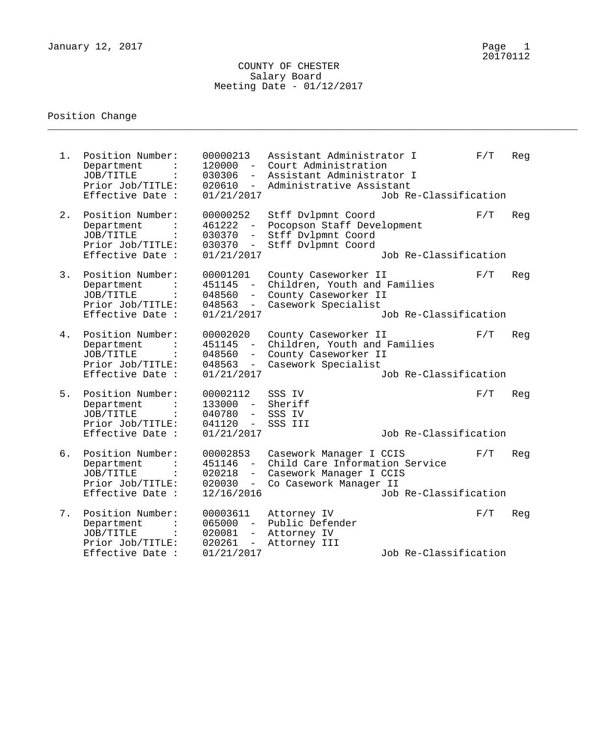### COUNTY OF CHESTER Salary Board Meeting Date - 01/12/2017

\_\_\_\_\_\_\_\_\_\_\_\_\_\_\_\_\_\_\_\_\_\_\_\_\_\_\_\_\_\_\_\_\_\_\_\_\_\_\_\_\_\_\_\_\_\_\_\_\_\_\_\_\_\_\_\_\_\_\_\_\_\_\_\_\_\_\_\_\_\_\_\_\_\_\_\_\_\_\_\_\_\_\_\_\_\_\_\_\_

# Position Change

| $1$ . | Position Number:<br>Department<br>JOB/TITLE<br>Prior Job/TITLE:<br>Effective Date : | 00000213<br>$120000 -$<br>030306<br>$-$<br>020610<br>$-$<br>01/21/2017           | Assistant Administrator I<br>Court Administration<br>Assistant Administrator I<br>Administrative Assistant     | Job Re-Classification | F/T | Reg |
|-------|-------------------------------------------------------------------------------------|----------------------------------------------------------------------------------|----------------------------------------------------------------------------------------------------------------|-----------------------|-----|-----|
| 2.    | Position Number:<br>Department<br>JOB/TITLE<br>Prior Job/TITLE:<br>Effective Date : | 00000252<br>461222<br>$\equiv$<br>030370<br>$-$<br>$030370 -$<br>01/21/2017      | Stff Dvlpmnt Coord<br>Pocopson Staff Development<br>Stff Dvlpmnt Coord<br>Stff Dvlpmnt Coord                   | Job Re-Classification | F/T | Reg |
| 3.    | Position Number:<br>Department<br>JOB/TITLE<br>Prior Job/TITLE:<br>Effective Date : | 00001201<br>451145<br>048560<br>048563<br>$\overline{\phantom{0}}$<br>01/21/2017 | County Caseworker II<br>Children, Youth and Families<br>County Caseworker II<br>Casework Specialist            | Job Re-Classification | F/T | Reg |
| 4.    | Position Number:<br>Department<br>JOB/TITLE<br>Prior Job/TITLE:<br>Effective Date : | 00002020<br>451145<br>048560<br>$-$<br>048563<br>$-$<br>01/21/2017               | County Caseworker II<br>Children, Youth and Families<br>County Caseworker II<br>Casework Specialist            | Job Re-Classification | F/T | Reg |
| 5.    | Position Number:<br>Department<br>JOB/TITLE<br>Prior Job/TITLE:<br>Effective Date : | 00002112<br>$\sim$<br>133000<br>040780<br>$-$<br>041120<br>$ \,$<br>01/21/2017   | SSS IV<br>Sheriff<br>SSS IV<br>SSS III                                                                         | Job Re-Classification | F/T | Reg |
| б.    | Position Number:<br>Department<br>JOB/TITLE<br>Prior Job/TITLE:<br>Effective Date : | 00002853<br>451146<br>$\equiv$<br>020218<br>020030<br>$ \,$<br>12/16/2016        | Casework Manager I CCIS<br>Child Care Information Service<br>Casework Manager I CCIS<br>Co Casework Manager II | Job Re-Classification | F/T | Reg |
| 7.    | Position Number:<br>Department<br>JOB/TITLE<br>Prior Job/TITLE:<br>Effective Date : | 00003611<br>065000<br>$ \,$<br>020081<br>$-$<br>020261<br>$-$<br>01/21/2017      | Attorney IV<br>Public Defender<br>Attorney IV<br>Attorney III                                                  | Job Re-Classification | F/T | Reg |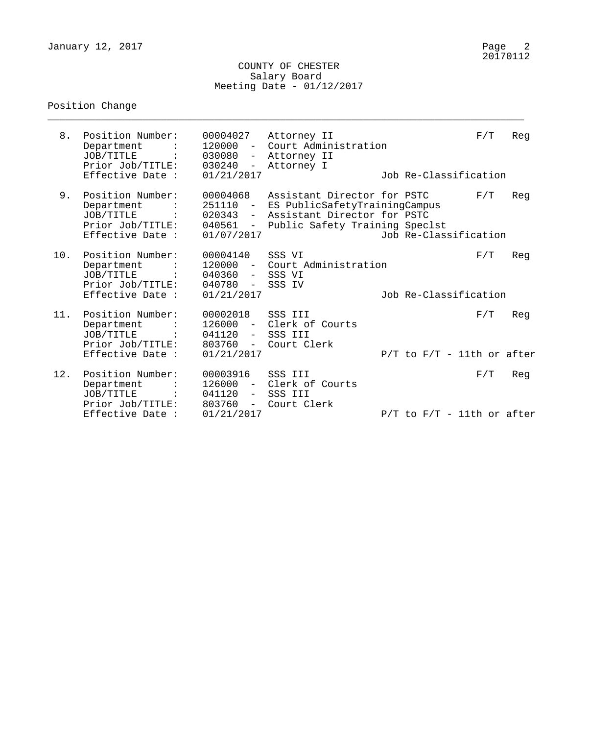### COUNTY OF CHESTER Salary Board Meeting Date - 01/12/2017

\_\_\_\_\_\_\_\_\_\_\_\_\_\_\_\_\_\_\_\_\_\_\_\_\_\_\_\_\_\_\_\_\_\_\_\_\_\_\_\_\_\_\_\_\_\_\_\_\_\_\_\_\_\_\_\_\_\_\_\_\_\_\_\_\_\_\_\_\_\_\_\_\_\_\_\_\_\_\_\_

# Position Change

| 8.  | Position Number:<br>Department<br>JOB/TITLE<br>Prior Job/TITLE:                     | 00004027<br>$120000 -$<br>030080<br>030240                              | Attorney II<br>Court Administration<br>- Attorney II<br>- Attorney I                                                          |                                 | F/T | Reg |
|-----|-------------------------------------------------------------------------------------|-------------------------------------------------------------------------|-------------------------------------------------------------------------------------------------------------------------------|---------------------------------|-----|-----|
|     | Effective Date :                                                                    | 01/21/2017                                                              |                                                                                                                               | Job Re-Classification           |     |     |
| 9.  | Position Number:<br>Department<br>JOB/TITLE<br>Prior Job/TITLE:<br>Effective Date : | 00004068<br>251110<br>020343<br>$ \,$<br>040561<br>$\sim$<br>01/07/2017 | Assistant Director for PSTC<br>ES PublicSafetyTrainingCampus<br>Assistant Director for PSTC<br>Public Safety Training Speclst | Job Re-Classification           | F/T | Reg |
| 10. | Position Number:<br>Department<br>JOB/TITLE<br>Prior Job/TITLE:                     | 00004140<br>$120000 -$<br>040360 - SSS VI<br>040780 -                   | SSS VI<br>Court Administration<br>SSS IV                                                                                      |                                 | F/T | Reg |
|     | Effective Date :                                                                    | 01/21/2017                                                              |                                                                                                                               | Job Re-Classification           |     |     |
| 11. | Position Number:<br>Department<br>JOB/TITLE<br>Prior Job/TITLE:                     | 00002018<br>$126000 -$<br>041120<br>$\sim$ $-$<br>803760                | SSS III<br>Clerk of Courts<br>SSS III<br>Court Clerk                                                                          |                                 | F/T | Reg |
|     | Effective Date :                                                                    | $  \,$<br>01/21/2017                                                    |                                                                                                                               | $P/T$ to $F/T - 11$ th or after |     |     |
| 12. | Position Number:<br>Department<br>JOB/TITLE<br>Prior Job/TITLE:                     | 00003916<br>126000<br>041120<br>$ \,$<br>803760<br>$-$                  | SSS III<br>Clerk of Courts<br>SSS III<br>Court Clerk                                                                          |                                 | F/T | Reg |
|     | Effective Date :                                                                    | 01/21/2017                                                              |                                                                                                                               | $P/T$ to $F/T - 11$ th or after |     |     |